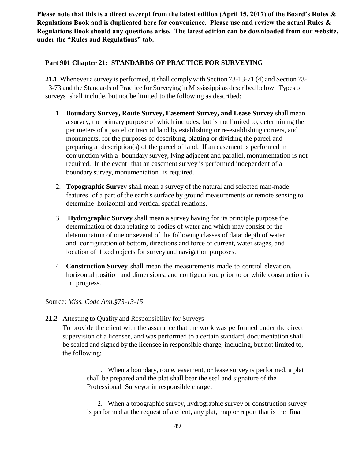**Please note that this is a direct excerpt from the latest edition (April 15, 2017) of the Board's Rules & Regulations Book and is duplicated here for convenience. Please use and review the actual Rules & Regulations Book should any questions arise. The latest edition can be downloaded from our website, under the "Rules and Regulations" tab.**

## **Part 901 Chapter 21: STANDARDS OF PRACTICE FOR SURVEYING**

**21.1** Whenever a survey is performed, it shall comply with Section 73-13-71 (4) and Section 73- 13-73 and the Standards of Practice for Surveying in Mississippi as described below. Types of surveys shall include, but not be limited to the following as described:

- 1. **Boundary Survey, Route Survey, Easement Survey, and Lease Survey** shall mean a survey, the primary purpose of which includes, but is not limited to, determining the perimeters of a parcel or tract of land by establishing or re-establishing corners, and monuments, for the purposes of describing, platting or dividing the parcel and preparing a description(s) of the parcel of land. If an easement is performed in conjunction with a boundary survey, lying adjacent and parallel, monumentation is not required. In the event that an easement survey is performed independent of a boundary survey, monumentation is required.
- 2. **Topographic Survey** shall mean a survey of the natural and selected man-made features of a part of the earth's surface by ground measurements or remote sensing to determine horizontal and vertical spatial relations.
- 3. **Hydrographic Survey** shall mean a survey having for its principle purpose the determination of data relating to bodies of water and which may consist of the determination of one or several of the following classes of data: depth of water and configuration of bottom, directions and force of current, water stages, and location of fixed objects for survey and navigation purposes.
- 4. **Construction Survey** shall mean the measurements made to control elevation, horizontal position and dimensions, and configuration, prior to or while construction is in progress.

#### Source: *Miss. Code Ann.§73-13-15*

**21.2** Attesting to Quality and Responsibility for Surveys

To provide the client with the assurance that the work was performed under the direct supervision of a licensee, and was performed to a certain standard, documentation shall be sealed and signed by the licensee in responsible charge, including, but not limited to, the following:

1. When a boundary, route, easement, or lease survey is performed, a plat shall be prepared and the plat shall bear the seal and signature of the Professional Surveyor in responsible charge.

2. When a topographic survey, hydrographic survey or construction survey is performed at the request of a client, any plat, map or report that is the final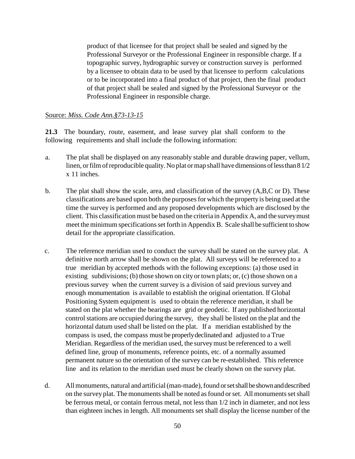product of that licensee for that project shall be sealed and signed by the Professional Surveyor or the Professional Engineer in responsible charge. If a topographic survey, hydrographic survey or construction survey is performed by a licensee to obtain data to be used by that licensee to perform calculations or to be incorporated into a final product of that project, then the final product of that project shall be sealed and signed by the Professional Surveyor or the Professional Engineer in responsible charge.

#### Source: *Miss. Code Ann.§73-13-15*

**21.3** The boundary, route, easement, and lease survey plat shall conform to the following requirements and shall include the following information:

- a. The plat shall be displayed on any reasonably stable and durable drawing paper, vellum, linen, or film of reproducible quality. No plat or map shall have dimensions of less than 8 1/2 x 11 inches.
- b. The plat shall show the scale, area, and classification of the survey (A,B,C or D). These classifications are based upon both the purposes for which the property is being used at the time the survey is performed and any proposed developments which are disclosed by the client. This classification must be based on the criteria in Appendix A, and the survey must meet the minimum specifications set forth in Appendix B. Scale shall be sufficient to show detail for the appropriate classification.
- c. The reference meridian used to conduct the survey shall be stated on the survey plat. A definitive north arrow shall be shown on the plat. All surveys will be referenced to a true meridian by accepted methods with the following exceptions: (a) those used in existing subdivisions; (b) those shown on city or town plats; or, (c) those shown on a previous survey when the current survey is a division of said previous survey and enough monumentation is available to establish the original orientation. If Global Positioning System equipment is used to obtain the reference meridian, it shall be stated on the plat whether the bearings are grid or geodetic. If any published horizontal control stations are occupied during the survey, they shall be listed on the plat and the horizontal datum used shall be listed on the plat. If a meridian established by the compass is used, the compass must be properly declinated and adjusted to a True Meridian. Regardless of the meridian used, the survey must be referenced to a well defined line, group of monuments, reference points, etc. of a normally assumed permanent nature so the orientation of the survey can be re-established. This reference line and its relation to the meridian used must be clearly shown on the survey plat.
- d. All monuments, natural and artificial (man-made), found or set shall be shown and described on the survey plat. The monuments shall be noted as found or set. All monuments set shall be ferrous metal, or contain ferrous metal, not less than 1/2 inch in diameter, and not less than eighteen inches in length. All monuments set shall display the license number of the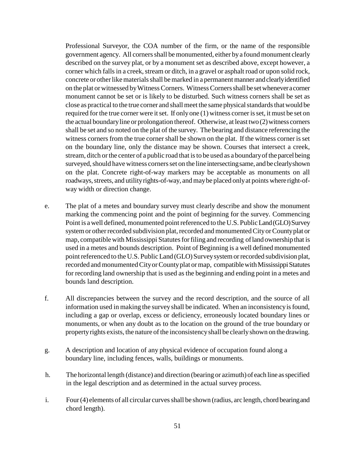Professional Surveyor, the COA number of the firm, or the name of the responsible government agency. All corners shall be monumented, either by a found monument clearly described on the survey plat, or by a monument set as described above, except however, a corner which falls in a creek, stream or ditch, in a gravel or asphalt road or upon solid rock, concrete or other like materials shall be marked in a permanent manner and clearly identified on the plat or witnessed by Witness Corners. Witness Corners shall be set whenever a corner monument cannot be set or is likely to be disturbed. Such witness corners shall be set as close as practical to the true corner and shall meet the same physical standards that would be required for the true corner were it set. If only one (1) witness corner is set, it must be set on the actual boundary line or prolongation thereof. Otherwise, at least two (2) witness corners shall be set and so noted on the plat of the survey. The bearing and distance referencing the witness corners from the true corner shall be shown on the plat. If the witness corner is set on the boundary line, only the distance may be shown. Courses that intersect a creek, stream, ditch or the center of a public road that isto be used as a boundary of the parcel being surveyed, should have witness corners set on the line intersecting same, and be clearly shown on the plat. Concrete right-of-way markers may be acceptable as monuments on all roadways, streets, and utility rights-of-way, and may be placed only at points where right-ofway width or direction change.

- e. The plat of a metes and boundary survey must clearly describe and show the monument marking the commencing point and the point of beginning for the survey. Commencing Point is a well defined, monumented point referenced to the U.S. Public Land (GLO) Survey system or other recorded subdivision plat, recorded and monumented City or County plat or map, compatible with Mississippi Statutes for filing and recording of land ownership that is used in a metes and bounds description. Point of Beginning is a well defined monumented point referenced to the U.S. Public Land (GLO) Survey system or recorded subdivision plat, recorded and monumented City or County plat or map, compatible with Mississippi Statutes for recording land ownership that is used as the beginning and ending point in a metes and bounds land description.
- f. All discrepancies between the survey and the record description, and the source of all information used in making the survey shall be indicated. When an inconsistency is found, including a gap or overlap, excess or deficiency, erroneously located boundary lines or monuments, or when any doubt as to the location on the ground of the true boundary or property rights exists, the nature of the inconsistency shall be clearly shown on the drawing.
- g. A description and location of any physical evidence of occupation found along a boundary line, including fences, walls, buildings or monuments.
- h. The horizontal length (distance) and direction (bearing or azimuth) of each line as specified in the legal description and as determined in the actual survey process.
- i. Four (4) elements of all circular curves shall be shown (radius, arc length, chord bearing and chord length).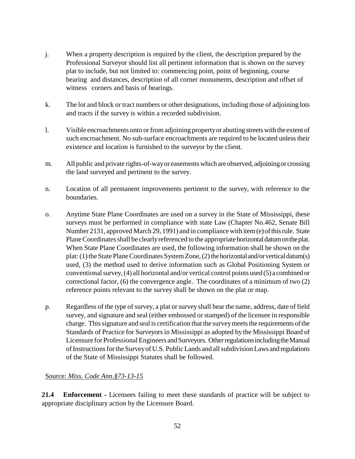- j. When a property description is required by the client, the description prepared by the Professional Surveyor should list all pertinent information that is shown on the survey plat to include, but not limited to: commencing point, point of beginning, course bearing and distances, description of all corner monuments, description and offset of witness corners and basis of bearings.
- k. The lot and block or tract numbers or other designations, including those of adjoining lots and tracts if the survey is within a recorded subdivision.
- l. Visible encroachments onto or from adjoining property or abutting streets with the extent of such encroachment. No sub-surface encroachments are required to be located unless their existence and location is furnished to the surveyor by the client.
- m. All public and private rights-of-way or easements which are observed, adjoining or crossing the land surveyed and pertinent to the survey.
- n. Location of all permanent improvements pertinent to the survey, with reference to the boundaries.
- o. Anytime State Plane Coordinates are used on a survey in the State of Mississippi, these surveys must be performed in compliance with state Law (Chapter No.462, Senate Bill Number 2131, approved March 29, 1991) and in compliance with item (e) of this rule. State Plane Coordinates shall be clearly referenced to the appropriate horizontal datum on the plat. When State Plane Coordinates are used, the following information shall be shown on the plat: (1) the State Plane Coordinates System Zone, (2) the horizontal and/or vertical datum(s) used, (3) the method used to derive information such as Global Positioning System or conventional survey, (4) all horizontal and/or vertical control points used (5) a combined or correctional factor, (6) the convergence angle., The coordinates of a minimum of two (2) reference points relevant to the survey shall be shown on the plat or map.
- p. Regardless of the type of survey, a plat or survey shall bear the name, address, date of field survey, and signature and seal (either embossed or stamped) of the licensee in responsible charge. This signature and seal is certification that the survey meets the requirements of the Standards of Practice for Surveyors in Mississippi as adopted by the Mississippi Board of Licensure for Professional Engineers and Surveyors. Other regulations including the Manual of Instructions for the Survey of U.S. Public Lands and all subdivision Laws and regulations of the State of Mississippi Statutes shall be followed.

# Source: *Miss. Code Ann.§73-13-15*

**21.4 Enforcement -** Licensees failing to meet these standards of practice will be subject to appropriate disciplinary action by the Licensure Board.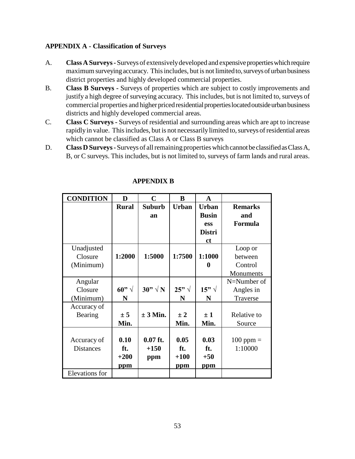## **APPENDIX A - Classification of Surveys**

- A. **Class A Surveys** Surveys of extensively developed and expensive properties which require maximum surveying accuracy. This includes, but is not limited to, surveys of urban business district properties and highly developed commercial properties.
- B. **Class B Surveys Surveys** of properties which are subject to costly improvements and justify a high degree of surveying accuracy. This includes, but is not limited to, surveys of commercial properties and higher priced residential properties located outside urban business districts and highly developed commercial areas.
- C. **Class C Surveys** Surveys of residential and surrounding areas which are apt to increase rapidly in value. This includes, but is not necessarily limited to, surveys of residential areas which cannot be classified as Class A or Class B surveys
- D. **Class D Surveys** Surveys of all remaining properties which cannot be classified as Class A, B, or C surveys. This includes, but is not limited to, surveys of farm lands and rural areas.

| <b>CONDITION</b> | D              | $\mathbf C$    | B            | $\mathbf A$    |                |
|------------------|----------------|----------------|--------------|----------------|----------------|
|                  | <b>Rural</b>   | <b>Suburb</b>  | <b>Urban</b> | <b>Urban</b>   | <b>Remarks</b> |
|                  |                | an             |              | <b>Busin</b>   | and            |
|                  |                |                |              | ess            | Formula        |
|                  |                |                |              | <b>Distri</b>  |                |
|                  |                |                |              | ct             |                |
| Unadjusted       |                |                |              |                | Loop or        |
| Closure          | 1:2000         | 1:5000         | 1:7500       | 1:1000         | between        |
| (Minimum)        |                |                |              | O              | Control        |
|                  |                |                |              |                | Monuments      |
| Angular          |                |                |              |                | N=Number of    |
| Closure          | 60" $\sqrt{ }$ | $30" \sqrt{N}$ | $25" \sqrt$  | 15" $\sqrt{ }$ | Angles in      |
| (Minimum)        | N              |                | N            | N              | Traverse       |
| Accuracy of      |                |                |              |                |                |
| Bearing          | ± 5            | $\pm 3$ Min.   | $\pm 2$      | $\pm 1$        | Relative to    |
|                  | Min.           |                | Min.         | Min.           | Source         |
|                  |                |                |              |                |                |
| Accuracy of      | 0.10           | $0.07$ ft.     | 0.05         | 0.03           | $100$ ppm $=$  |
| <b>Distances</b> | ft.            | $+150$         | ft.          | ft.            | 1:10000        |
|                  | $+200$         | ppm            | $+100$       | $+50$          |                |
|                  | <u>ppm</u>     |                | <u>ppm</u>   | <u>ppm</u>     |                |
| Elevations for   |                |                |              |                |                |

# **APPENDIX B**